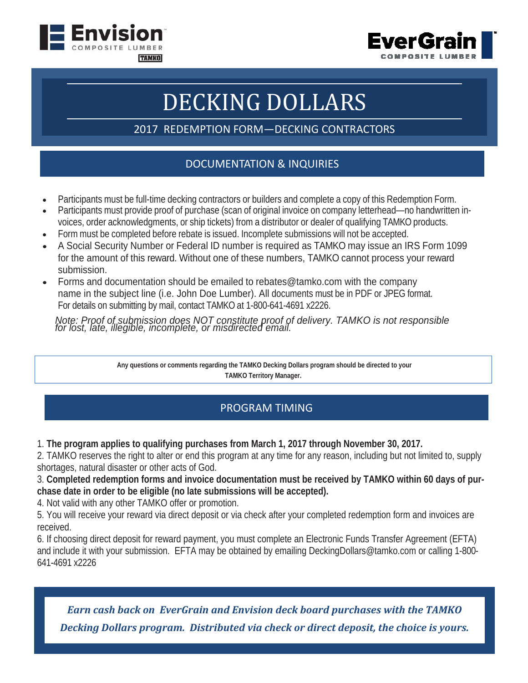



## DECKING DOLLARS

2017 REDEMPTION FORM—DECKING CONTRACTORS

## DOCUMENTATION & INQUIRIES

- Participants must be full-time decking contractors or builders and complete a copy of this Redemption Form.
- Participants must provide proof of purchase (scan of original invoice on company letterhead—no handwritten invoices, order acknowledgments, or ship tickets) from a distributor or dealer of qualifying TAMKO products.
- Form must be completed before rebate is issued. Incomplete submissions will not be accepted.
- A Social Security Number or Federal ID number is required as TAMKO may issue an IRS Form 1099 for the amount of this reward. Without one of these numbers, TAMKO cannot process your reward submission.
- Forms and documentation should be emailed to rebates@tamko.com with the company name in the subject line (i.e. John Doe Lumber). All documents must be in PDF or JPEG format. For details on submitting by mail, contact TAMKO at 1-800-641-4691 x2226.

*Note: Proof of submission does NOT constitute proof of delivery. TAMKO is not responsible*<br>for lost, late, illegible, incomplete, or misdirected email.

**Any questions or comments regarding the TAMKO Decking Dollars program should be directed to your TAMKO Territory Manager.** 

## PROGRAM TIMING

1. **The program applies to qualifying purchases from March 1, 2017 through November 30, 2017.** 

2. TAMKO reserves the right to alter or end this program at any time for any reason, including but not limited to, supply shortages, natural disaster or other acts of God.

3. **Completed redemption forms and invoice documentation must be received by TAMKO within 60 days of purchase date in order to be eligible (no late submissions will be accepted).** 

4. Not valid with any other TAMKO offer or promotion.

5. You will receive your reward via direct deposit or via check after your completed redemption form and invoices are received.

6. If choosing direct deposit for reward payment, you must complete an Electronic Funds Transfer Agreement (EFTA) and include it with your submission. EFTA may be obtained by emailing DeckingDollars@tamko.com or calling 1-800- 641-4691 x2226

*Earn cash back on EverGrain and Envision deck board purchases with the TAMKO Decking Dollars program. Distributed via check or direct deposit, the choice is yours.*